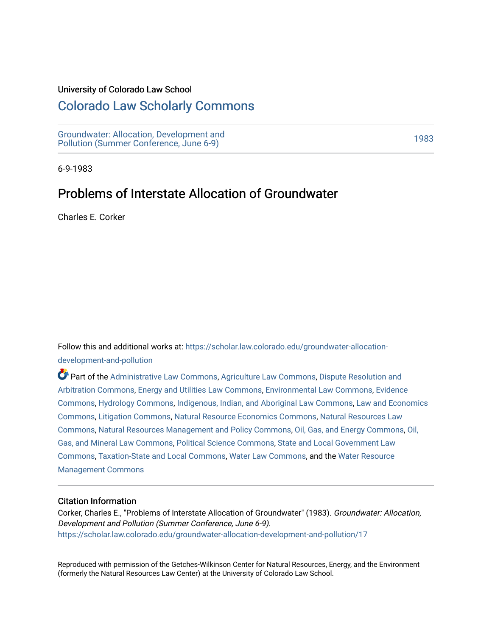#### University of Colorado Law School

## [Colorado Law Scholarly Commons](https://scholar.law.colorado.edu/)

[Groundwater: Allocation, Development and](https://scholar.law.colorado.edu/groundwater-allocation-development-and-pollution)  Giodinavater. Anocation, Development and<br>Pollution (Summer Conference, June 6-9)

6-9-1983

# Problems of Interstate Allocation of Groundwater

Charles E. Corker

Follow this and additional works at: [https://scholar.law.colorado.edu/groundwater-allocation](https://scholar.law.colorado.edu/groundwater-allocation-development-and-pollution?utm_source=scholar.law.colorado.edu%2Fgroundwater-allocation-development-and-pollution%2F17&utm_medium=PDF&utm_campaign=PDFCoverPages)[development-and-pollution](https://scholar.law.colorado.edu/groundwater-allocation-development-and-pollution?utm_source=scholar.law.colorado.edu%2Fgroundwater-allocation-development-and-pollution%2F17&utm_medium=PDF&utm_campaign=PDFCoverPages)

Part of the [Administrative Law Commons,](http://network.bepress.com/hgg/discipline/579?utm_source=scholar.law.colorado.edu%2Fgroundwater-allocation-development-and-pollution%2F17&utm_medium=PDF&utm_campaign=PDFCoverPages) [Agriculture Law Commons](http://network.bepress.com/hgg/discipline/581?utm_source=scholar.law.colorado.edu%2Fgroundwater-allocation-development-and-pollution%2F17&utm_medium=PDF&utm_campaign=PDFCoverPages), [Dispute Resolution and](http://network.bepress.com/hgg/discipline/890?utm_source=scholar.law.colorado.edu%2Fgroundwater-allocation-development-and-pollution%2F17&utm_medium=PDF&utm_campaign=PDFCoverPages) [Arbitration Commons](http://network.bepress.com/hgg/discipline/890?utm_source=scholar.law.colorado.edu%2Fgroundwater-allocation-development-and-pollution%2F17&utm_medium=PDF&utm_campaign=PDFCoverPages), [Energy and Utilities Law Commons](http://network.bepress.com/hgg/discipline/891?utm_source=scholar.law.colorado.edu%2Fgroundwater-allocation-development-and-pollution%2F17&utm_medium=PDF&utm_campaign=PDFCoverPages), [Environmental Law Commons,](http://network.bepress.com/hgg/discipline/599?utm_source=scholar.law.colorado.edu%2Fgroundwater-allocation-development-and-pollution%2F17&utm_medium=PDF&utm_campaign=PDFCoverPages) [Evidence](http://network.bepress.com/hgg/discipline/601?utm_source=scholar.law.colorado.edu%2Fgroundwater-allocation-development-and-pollution%2F17&utm_medium=PDF&utm_campaign=PDFCoverPages)  [Commons](http://network.bepress.com/hgg/discipline/601?utm_source=scholar.law.colorado.edu%2Fgroundwater-allocation-development-and-pollution%2F17&utm_medium=PDF&utm_campaign=PDFCoverPages), [Hydrology Commons](http://network.bepress.com/hgg/discipline/1054?utm_source=scholar.law.colorado.edu%2Fgroundwater-allocation-development-and-pollution%2F17&utm_medium=PDF&utm_campaign=PDFCoverPages), [Indigenous, Indian, and Aboriginal Law Commons](http://network.bepress.com/hgg/discipline/894?utm_source=scholar.law.colorado.edu%2Fgroundwater-allocation-development-and-pollution%2F17&utm_medium=PDF&utm_campaign=PDFCoverPages), [Law and Economics](http://network.bepress.com/hgg/discipline/612?utm_source=scholar.law.colorado.edu%2Fgroundwater-allocation-development-and-pollution%2F17&utm_medium=PDF&utm_campaign=PDFCoverPages)  [Commons](http://network.bepress.com/hgg/discipline/612?utm_source=scholar.law.colorado.edu%2Fgroundwater-allocation-development-and-pollution%2F17&utm_medium=PDF&utm_campaign=PDFCoverPages), [Litigation Commons,](http://network.bepress.com/hgg/discipline/910?utm_source=scholar.law.colorado.edu%2Fgroundwater-allocation-development-and-pollution%2F17&utm_medium=PDF&utm_campaign=PDFCoverPages) [Natural Resource Economics Commons,](http://network.bepress.com/hgg/discipline/169?utm_source=scholar.law.colorado.edu%2Fgroundwater-allocation-development-and-pollution%2F17&utm_medium=PDF&utm_campaign=PDFCoverPages) [Natural Resources Law](http://network.bepress.com/hgg/discipline/863?utm_source=scholar.law.colorado.edu%2Fgroundwater-allocation-development-and-pollution%2F17&utm_medium=PDF&utm_campaign=PDFCoverPages)  [Commons](http://network.bepress.com/hgg/discipline/863?utm_source=scholar.law.colorado.edu%2Fgroundwater-allocation-development-and-pollution%2F17&utm_medium=PDF&utm_campaign=PDFCoverPages), [Natural Resources Management and Policy Commons,](http://network.bepress.com/hgg/discipline/170?utm_source=scholar.law.colorado.edu%2Fgroundwater-allocation-development-and-pollution%2F17&utm_medium=PDF&utm_campaign=PDFCoverPages) [Oil, Gas, and Energy Commons,](http://network.bepress.com/hgg/discipline/171?utm_source=scholar.law.colorado.edu%2Fgroundwater-allocation-development-and-pollution%2F17&utm_medium=PDF&utm_campaign=PDFCoverPages) [Oil,](http://network.bepress.com/hgg/discipline/864?utm_source=scholar.law.colorado.edu%2Fgroundwater-allocation-development-and-pollution%2F17&utm_medium=PDF&utm_campaign=PDFCoverPages)  [Gas, and Mineral Law Commons](http://network.bepress.com/hgg/discipline/864?utm_source=scholar.law.colorado.edu%2Fgroundwater-allocation-development-and-pollution%2F17&utm_medium=PDF&utm_campaign=PDFCoverPages), [Political Science Commons](http://network.bepress.com/hgg/discipline/386?utm_source=scholar.law.colorado.edu%2Fgroundwater-allocation-development-and-pollution%2F17&utm_medium=PDF&utm_campaign=PDFCoverPages), [State and Local Government Law](http://network.bepress.com/hgg/discipline/879?utm_source=scholar.law.colorado.edu%2Fgroundwater-allocation-development-and-pollution%2F17&utm_medium=PDF&utm_campaign=PDFCoverPages) [Commons](http://network.bepress.com/hgg/discipline/879?utm_source=scholar.law.colorado.edu%2Fgroundwater-allocation-development-and-pollution%2F17&utm_medium=PDF&utm_campaign=PDFCoverPages), [Taxation-State and Local Commons](http://network.bepress.com/hgg/discipline/882?utm_source=scholar.law.colorado.edu%2Fgroundwater-allocation-development-and-pollution%2F17&utm_medium=PDF&utm_campaign=PDFCoverPages), [Water Law Commons,](http://network.bepress.com/hgg/discipline/887?utm_source=scholar.law.colorado.edu%2Fgroundwater-allocation-development-and-pollution%2F17&utm_medium=PDF&utm_campaign=PDFCoverPages) and the [Water Resource](http://network.bepress.com/hgg/discipline/1057?utm_source=scholar.law.colorado.edu%2Fgroundwater-allocation-development-and-pollution%2F17&utm_medium=PDF&utm_campaign=PDFCoverPages) [Management Commons](http://network.bepress.com/hgg/discipline/1057?utm_source=scholar.law.colorado.edu%2Fgroundwater-allocation-development-and-pollution%2F17&utm_medium=PDF&utm_campaign=PDFCoverPages)

#### Citation Information

Corker, Charles E., "Problems of Interstate Allocation of Groundwater" (1983). Groundwater: Allocation, Development and Pollution (Summer Conference, June 6-9). [https://scholar.law.colorado.edu/groundwater-allocation-development-and-pollution/17](https://scholar.law.colorado.edu/groundwater-allocation-development-and-pollution/17?utm_source=scholar.law.colorado.edu%2Fgroundwater-allocation-development-and-pollution%2F17&utm_medium=PDF&utm_campaign=PDFCoverPages) 

Reproduced with permission of the Getches-Wilkinson Center for Natural Resources, Energy, and the Environment (formerly the Natural Resources Law Center) at the University of Colorado Law School.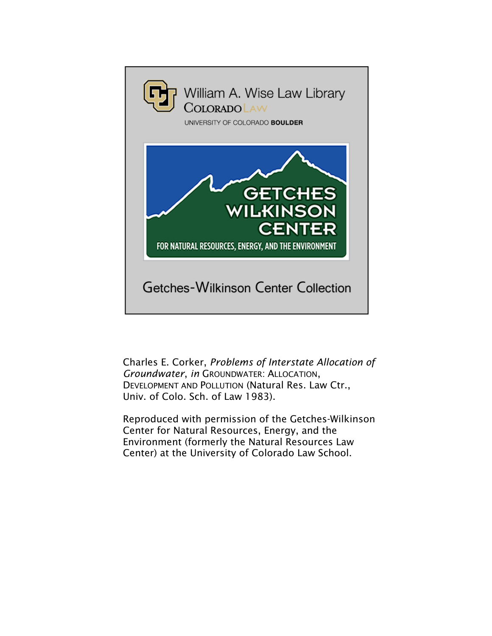

Charles E. Corker, *Problems of Interstate Allocation of Groundwater*, *in* GROUNDWATER: ALLOCATION, DEVELOPMENT AND POLLUTION (Natural Res. Law Ctr., Univ. of Colo. Sch. of Law 1983).

Reproduced with permission of the Getches-Wilkinson Center for Natural Resources, Energy, and the Environment (formerly the Natural Resources Law Center) at the University of Colorado Law School.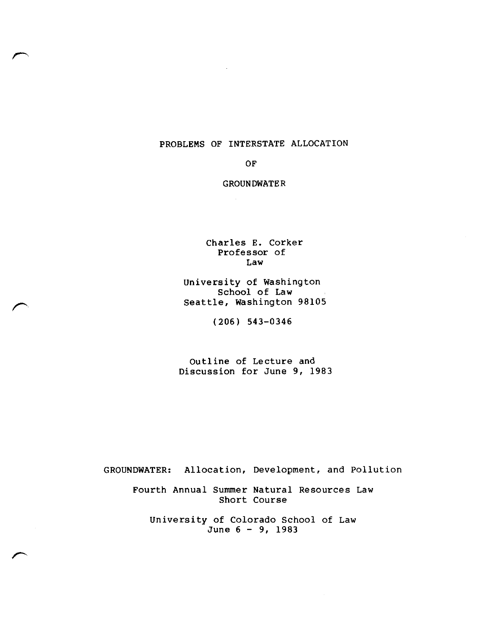### PROBLEMS OF INTERSTATE ALLOCATION

#### OF

#### GROUNDWATER

Charles E. Corker Professor of Law

University of Washington School of Law Seattle, Washington 98105

(206) 543-0346

Outline of Lecture and Discussion for June 9, 1983

GROUNDWATER: Allocation, Development, and Pollution

Fourth Annual Summer Natural Resources Law Short Course

University of Colorado School of Law June 6 - 9, 1983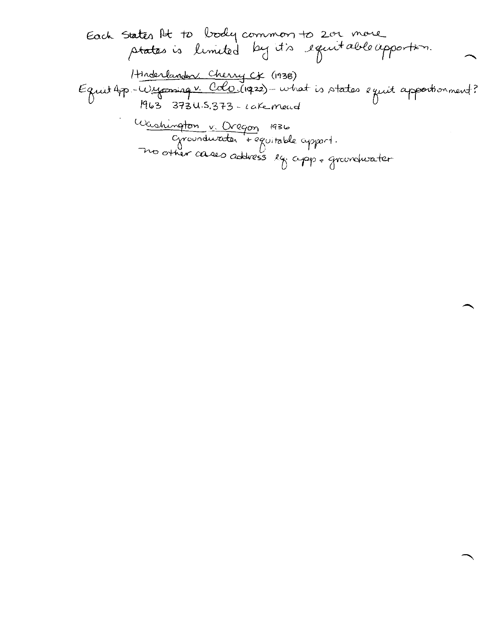extck 5ta±b flk ivbyt<sup>k</sup>i<sup>c</sup>\_c-netny1/4-0-<sup>y</sup> <sup>1</sup> <sup>2</sup>\_0-t. /1-t-rtica.6 RAiwnAkci <sup>c</sup><sup>t</sup> \_<sup>2</sup> ce\_e\_freo ciaro,--f\*Th - (1138) \_ 1 V. ace° . ocit.2z) /A-1--etiodo a r afies-LA-<sup>5</sup> Kt 63 393 U•S.31-3 - cdCe\_ vni2c,Lc1 vi i^<sup>i</sup> <sup>E</sup>fl (q 3 ta eon cIA-cfra-nbA a- DJ tzt bei<sup>z</sup> orpo • Thtt ca-4e-<sup>d</sup>i °caress )? <15 clo<sup>y</sup> .<sup>t</sup> rilekccJer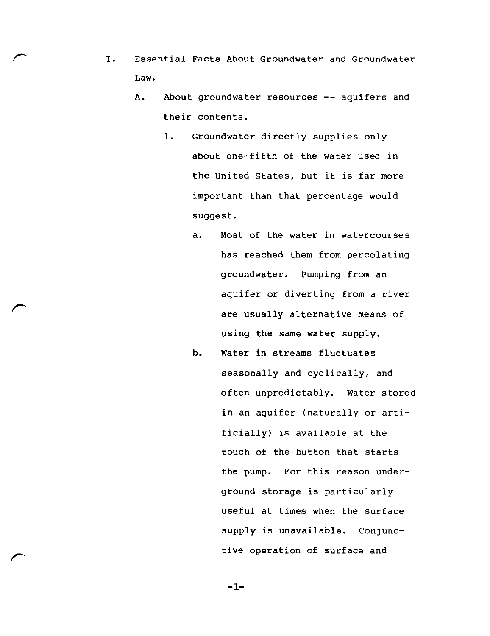- I. Essential Facts About Groundwater and Groundwater Law.
	- A. About groundwater resources -- aquifers and their contents.
		- 1. Groundwater directly supplies only about one-fifth of the water used in the United States, but it is far more important than that percentage would suggest.
			- a. Most of the water in watercourses has reached them from percolating groundwater. Pumping from an aquifer or diverting from a river are usually alternative means of using the same water supply.
			- b. Water in streams fluctuates seasonally and cyclically, and often unpredictably. Water stored in an aquifer (naturally or artificially) is available at the touch of the button that starts the pump. For this reason underground storage is particularly useful at times when the surface supply is unavailable. Conjunctive operation of surface and

 $-1-$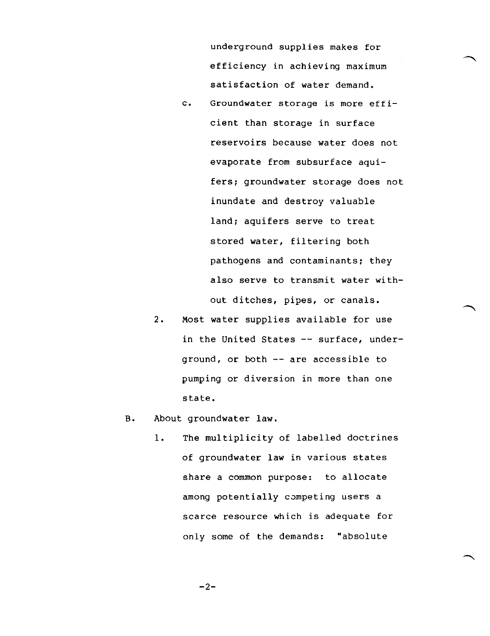underground supplies makes for efficiency in achieving maximum satisfaction of water demand.

- C. Groundwater storage is more efficient than storage in surface reservoirs because water does not evaporate from subsurface aquifers; groundwater storage does not inundate and destroy valuable land; aquifers serve to treat stored water, filtering both pathogens and contaminants; they also serve to transmit water without ditches, pipes, or canals.
- 2. Most water supplies available for use in the United States -- surface, underground, or both  $-$  are accessible to pumping or diversion in more than one state.
- B. About groundwater law.
	- 1. The multiplicity of labelled doctrines of groundwater law in various states share a common purpose: to allocate among potentially competing users a scarce resource which is adequate for only some of the demands: "absolute

 $-2-$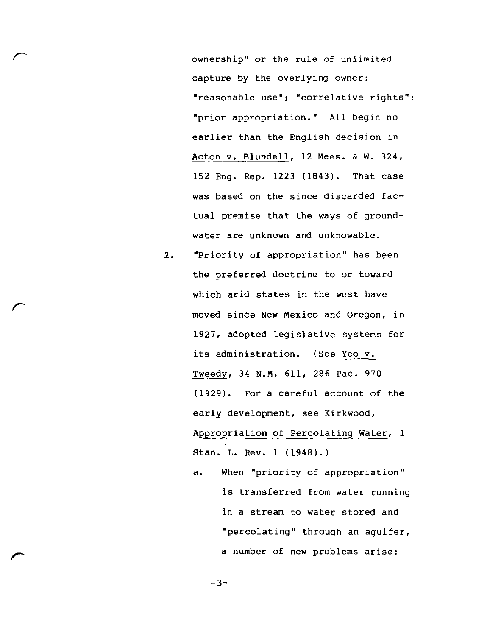ownership" or the rule of unlimited capture by the overlying owner; "reasonable use"; "correlative rights"; "prior appropriation." All begin no earlier than the English decision in Acton v. Blundell, 12 Mees. & W. 324, 152 Eng. Rep. 1223 (1843). That case was based on the since discarded factual premise that the ways of groundwater are unknown and unknowable.

- 2. "Priority of appropriation" has been the preferred doctrine to or toward which arid states in the west have moved since New Mexico and Oregon, in 1927, adopted legislative systems for its administration. (See Yeo v. Tweedy, 34 N.M. 611, 286 Pac. 970 (1929). For a careful account of the early development, see Kirkwood, Appropriation of Percolating Water, 1 Stan. L. Rev. 1 (1948).)
	- a. When "priority of appropriation" is transferred from water running in a stream to water stored and "percolating" through an aquifer, a number of new problems arise:

 $-3-$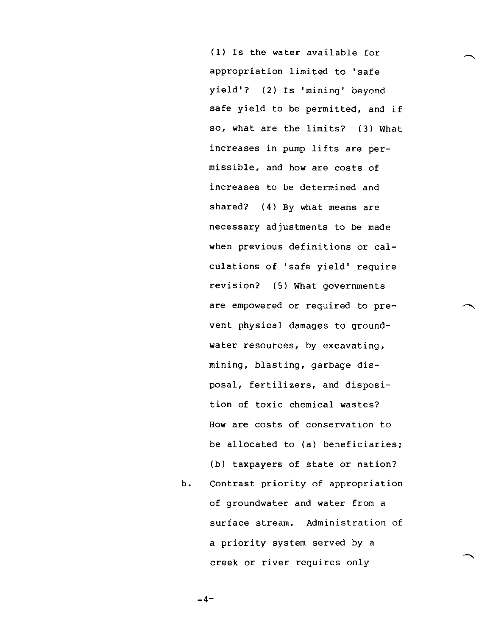(1) Is the water available for appropriation limited to 'safe yield'? (2) Is 'mining' beyond safe yield to be permitted, and if so, what are the limits? (3) What increases in pump lifts are permissible, and how are costs of increases to be determined and shared? (4) By what means are necessary adjustments to be made when previous definitions or calculations of 'safe yield' require revision? (5) What governments are empowered or required to prevent physical damages to groundwater resources, by excavating, mining, blasting, garbage disposal, fertilizers, and disposition of toxic chemical wastes? How are costs of conservation to be allocated to (a) beneficiaries; (b) taxpayers of state or nation?

b. Contrast priority of appropriation of groundwater and water from a surface stream. Administration of a priority system served by a creek or river requires only

 $-4-$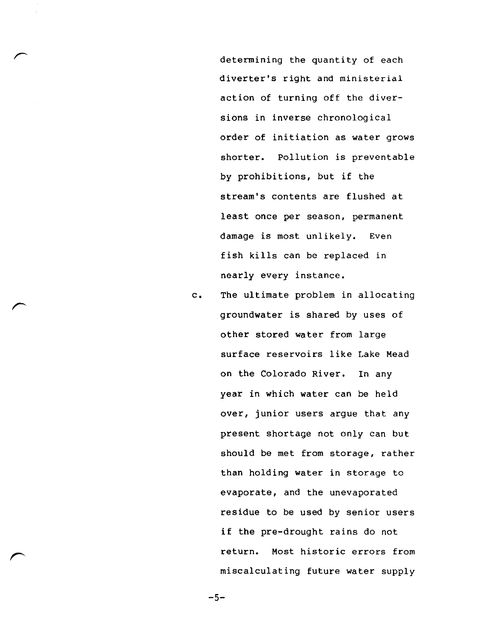determining the quantity of each diverter's right and ministerial action of turning off the diversions in inverse chronological order of initiation as water grows shorter. Pollution is preventable by prohibitions, but if the stream's contents are flushed at least once per season, permanent damage is most unlikely. Even fish kills can be replaced in nearly every instance.

c. The ultimate problem in allocating groundwater is shared by uses of other stored water from large surface reservoirs like Lake Mead on the Colorado River. In any year in which water can be held over, junior users argue that any present shortage not only can but should be met from storage, rather than holding water in storage to evaporate, and the unevaporated residue to be used by senior users if the pre-drought rains do not return. Most historic errors from miscalculating future water supply

-5-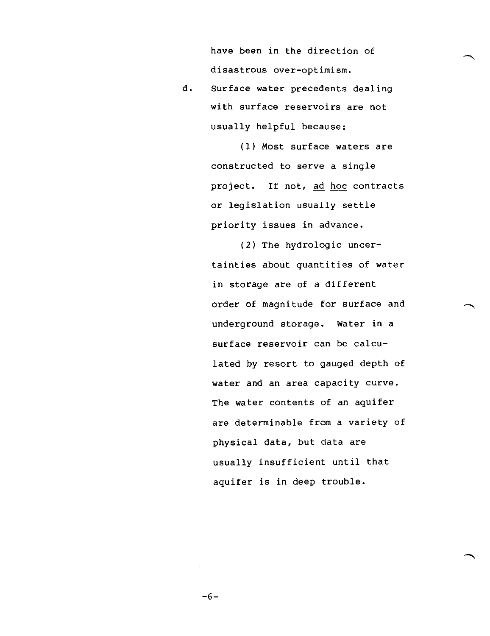have been in the direction of disastrous over-optimism.

d. Surface water precedents dealing with surface reservoirs are not usually helpful because:

> (1) Most surface waters are constructed to serve a single project. If not, ad hoc contracts or legislation usually settle priority issues in advance.

(2) The hydrologic uncertainties about quantities of water in storage are of a different order of magnitude for surface and underground storage. Water in a surface reservoir can be calculated by resort to gauged depth of water and an area capacity curve. The water contents of an aquifer are determinable from a variety of physical data, but data are usually insufficient until that aquifer is in deep trouble.

-6-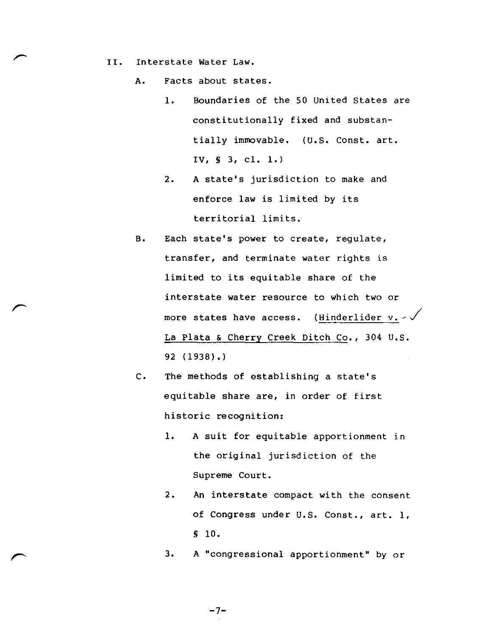II. Interstate water Law.

A. Facts about states.

- 1. Boundaries of the 50 United States are constitutionally fixed and substantially immovable. (U.S. Const. art. IV, S 3, cl. 1.)
- 2. A state's jurisdiction to make and enforce law is limited by its territorial limits.
- B. Each state's power to create, regulate, transfer, and terminate water rights is limited to its equitable share of the interstate water resource to which two or more states have access. (Hinderlider  $v. -\sqrt{ }$ La Plata & Cherry Creek Ditch Co., 304 U.S. 92 (1938).)
- C. The methods of establishing a state's equitable share are, in order of first historic recognition:
	- 1. A suit for equitable apportionment in the original jurisdiction of the Supreme Court.
	- 2. An interstate compact with the consent of Congress under U.S. Const., art. 1, S 10.
	- 3. A "congressional apportionment" by or

-7-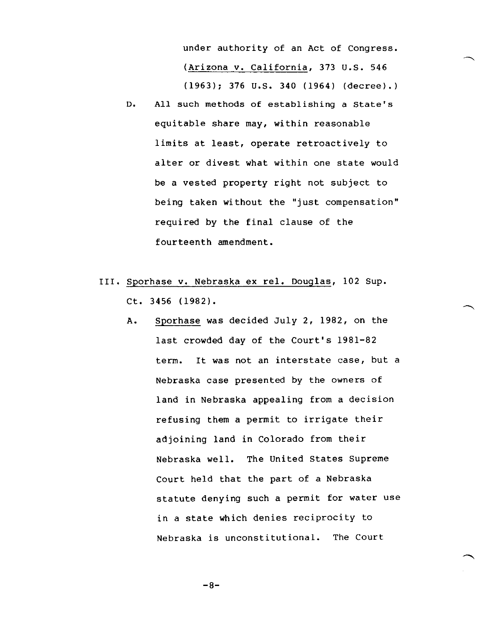under authority of an Act of Congress. (Arizona v. California, 373 U.S. 546 (1963); 376 U.S. 340 (1964) (decree).)

- D. All such methods of establishing a state's equitable share may, within reasonable limits at least, operate retroactively to alter or divest what within one state would be a vested property right not subject to being taken without the "just compensation" required by the final clause of the fourteenth amendment.
- III. Sporhase V. Nebraska ex rel. Douglas, 102 Sup. Ct. 3456 (1982).
	- A. Sporhase was decided July 2, 1982, on the last crowded day of the Court's 1981-82 term. It was not an interstate case, but a Nebraska case presented by the owners of land in Nebraska appealing from a decision refusing them a permit to irrigate their adjoining land in Colorado from their Nebraska well. The United States Supreme Court held that the part of a Nebraska statute denying such a permit for water use in a state which denies reciprocity to Nebraska is unconstitutional. The Court

 $-8-$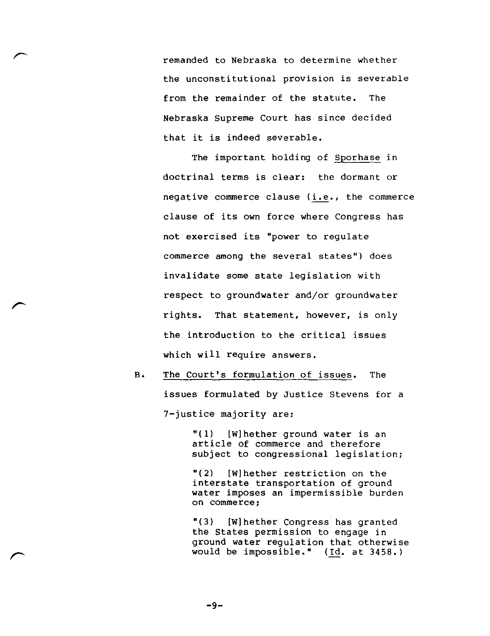remanded to Nebraska to determine whether the unconstitutional provision is severable from the remainder of the statute. The Nebraska Supreme Court has since decided that it is indeed severable.

The important holding of Sporhase in doctrinal terms is clear: the dormant or negative commerce clause (i.e., the commerce clause of its own force where Congress has not exercised its "power to regulate commerce among the several states") does invalidate some state legislation with respect to groundwater and/or groundwater rights. That statement, however, is only the introduction to the critical issues which will require answers.

B. The Court's formulation of issues. The issues formulated by Justice Stevens for a 7-justice majority are:

> $"(1)$  [W] hether ground water is an article of commerce and therefore subject to congressional legislation;

> "(2) [W]hether restriction on the interstate transportation of ground water imposes an impermissible burden on commerce;

"(3) [W]hether Congress has granted the States permission to engage in ground water regulation that otherwise would be impossible." (Id. at 3458.)

-9-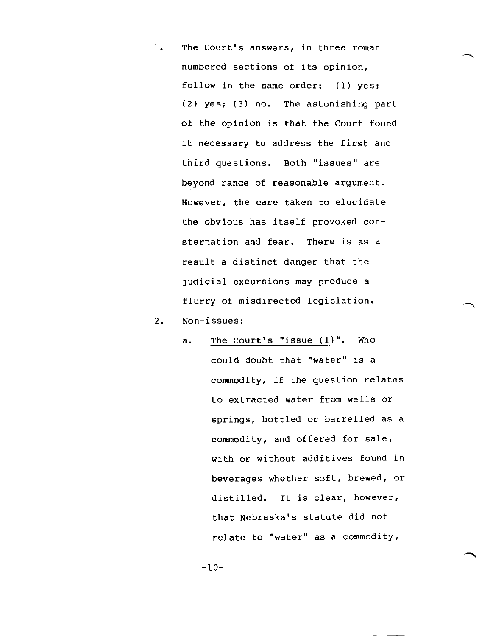- 1. The Court's answers, in three roman numbered sections of its opinion, follow in the same order: (1) yes; (2) yes; (3) no. The astonishing part of the opinion is that the Court found it necessary to address the first and third questions. Both "issues" are beyond range of reasonable argument. However, the care taken to elucidate the obvious has itself provoked consternation and fear. There is as a result a distinct danger that the judicial excursions may produce a flurry of misdirected legislation.
- 2. Non-issues:
	- a. The Court's "issue (1)". Who could doubt that "water" is a commodity, if the question relates to extracted water from wells or springs, bottled or barrelled as a commodity, and offered for sale, with or without additives found in beverages whether soft, brewed, or distilled. It is clear, however, that Nebraska's statute did not relate to "water" as a commodity,

-10-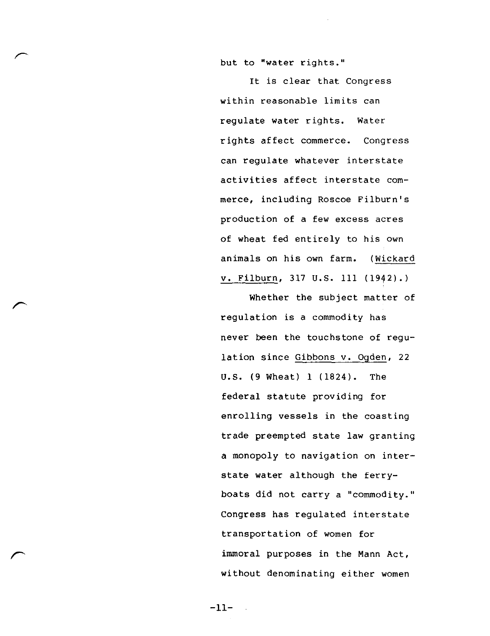but to "water rights."

It is clear that Congress within reasonable limits can regulate water rights. Water rights affect commerce. Congress can regulate whatever interstate activities affect interstate commerce, including Roscoe Filburn's production of a few excess acres of wheat fed entirely to his own animals on his own farm. (Wickard V. Filburn, 317 U.S. 111 (1942).)

Whether the subject matter of regulation is a commodity has never been the touchstone of regulation since Gibbons v. Ogden, 22 U.S. (9 Wheat) 1 (1824). The federal statute providing for enrolling vessels in the coasting trade preempted state law granting a monopoly to navigation on interstate water although the ferryboats did not carry a "commodity." Congress has regulated interstate transportation of women for immoral purposes in the Mann Act, without denominating either women

 $-11-$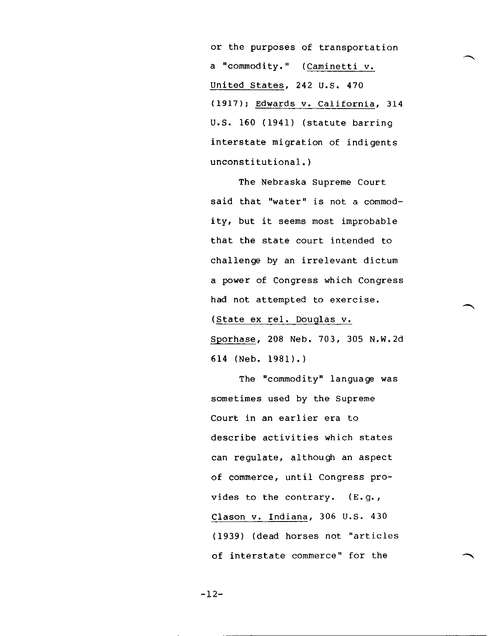or the purposes of transportation a "commodity." (Caminetti v. United States, 242 U.S. 470 (1917); Edwards v. California, 314 U.S. 160 (1941) (statute barring interstate migration of indigents unconstitutional.)

The Nebraska Supreme Court said that "water" is not a commodity, but it seems most improbable that the state court intended to challenge by an irrelevant dictum a power of Congress which Congress had not attempted to exercise.

(State ex rel. Douglas V.

Sporhase, 208 Neb. 703, 305 N.W.2d 614 (Neb. 1981).)

The "commodity" language was sometimes used by the Supreme Court in an earlier era to describe activities which states can regulate, although an aspect of commerce, until Congress provides to the contrary. (E.g., Clason v. Indiana, 306 U.S. 430 (1939) (dead horses not "articles of interstate commerce" for the

 $-12-$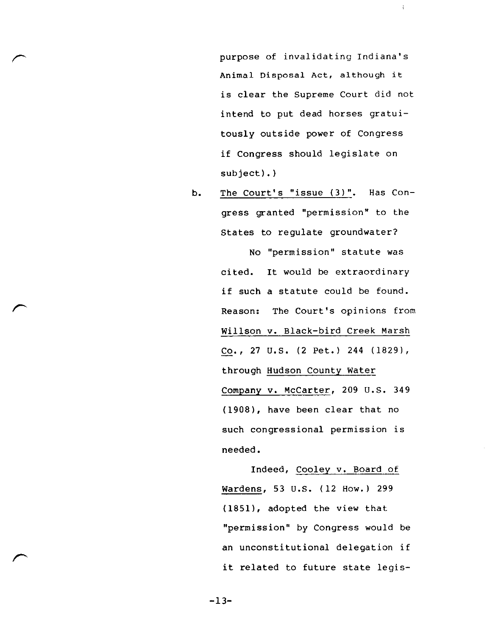purpose of invalidating Indiana's Animal Disposal Act, although it is clear the Supreme Court did not intend to put dead horses gratuitously outside power of Congress if Congress should legislate on subject).)

Å.

b. The Court's "issue (3)". Has Congress granted "permission" to the States to regulate groundwater?

> No "permission" statute was cited. It would be extraordinary if such a statute could be found. Reason: The Court's opinions from Willson v. Black-bird Creek Marsh Co., 27 U.S. (2 Pet.) 244 (1829), through Hudson County Water Company v. McCarter, 209 U.S. 349 (1908), have been clear that no such congressional permission is needed.

Indeed, Cooley v. Board of Wardens, 53 U.S. (12 How.) 299 (1851), adopted the view that "permission" by Congress would be an unconstitutional delegation if it related to future state legis-

-13-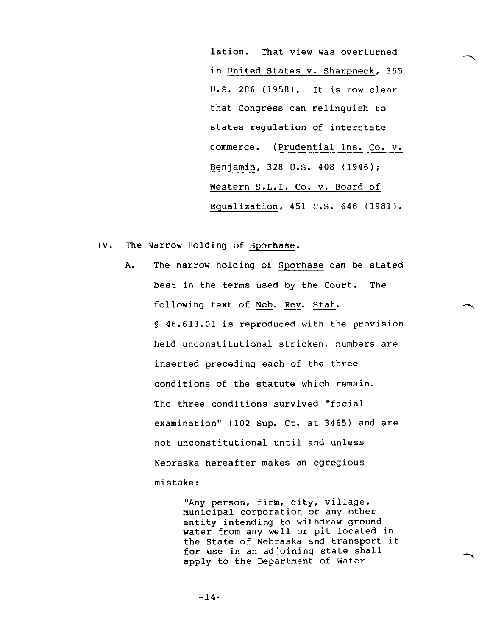lation. That view was overturned in United States v. Sharpneck, 355 U.S. 286 (1958). It is now clear that Congress can relinquish to states regulation of interstate commerce. (Prudential Ins. Co. v. Benjamin, 328 U.S. 408 (1946); Western S.L.I. Co. v. Board of Equalization, 451 U.S. 648 (1981).

- IV. The Narrow Holding of Sporhase.
	- A. The narrow holding of Sporhase can be stated best in the terms used by the Court. The following text of Neb. Rev. Stat. 46.613.01 is reproduced with the provision held unconstitutional stricken, numbers are inserted preceding each of the three conditions of the statute which remain. The three conditions survived "facial examination" (102 Sup. Ct. at 3465) and are not unconstitutional until and unless Nebraska hereafter makes an egregious mistake:

"Any person, firm, city, village, municipal corporation or any other entity intending to withdraw ground water from any well or pit located in the State of Nebraska and transport it for use in an adjoining state shall apply to the Department of Water

 $-14-$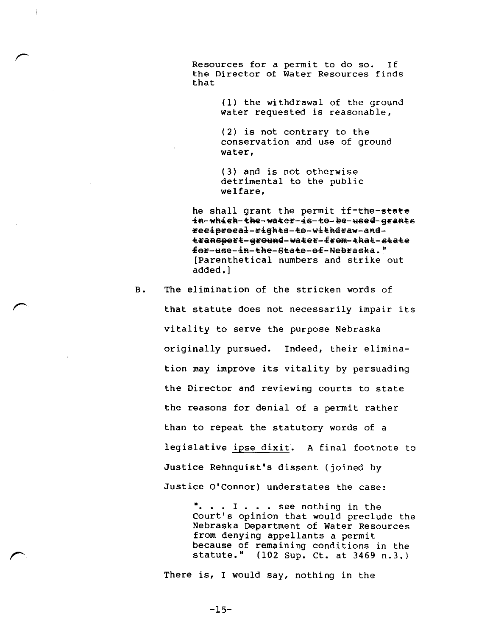Resources for a permit to do so. If the Director of water Resources finds that

 $\mathfrak j$ 

(1) the withdrawal of the ground water requested is reasonable,

(2) is not contrary to the conservation and use of ground water,

(3) and is not otherwise detrimental to the public welfare,

he shall grant the permit if-the-state in-which-the-water-is-te-be-used-grants ee4preea4-c4ghte-4e-w4thdcaw-andtranspert-greund-water-frem-that-state feE-ase-4a-the-6tate-ef-Nebcaska." [Parenthetical numbers and strike out added.]

B. The elimination of the stricken words of that statute does not necessarily impair its vitality to serve the purpose Nebraska originally pursued. Indeed, their elimination may improve its vitality by persuading the Director and reviewing courts to state the reasons for denial of a permit rather than to repeat the statutory words of a legislative ipse dixit. A final footnote to Justice Rehnquist's dissent (joined by Justice O'Connor) understates the case:

> ". . . I . . . see nothing in the Court's opinion that would preclude the Nebraska Department of Water Resources from denying appellants a permit because of remaining conditions in the statute." (102 Sup. Ct. at 3469 n.3.)

There is, I would say, nothing in the

 $-15-$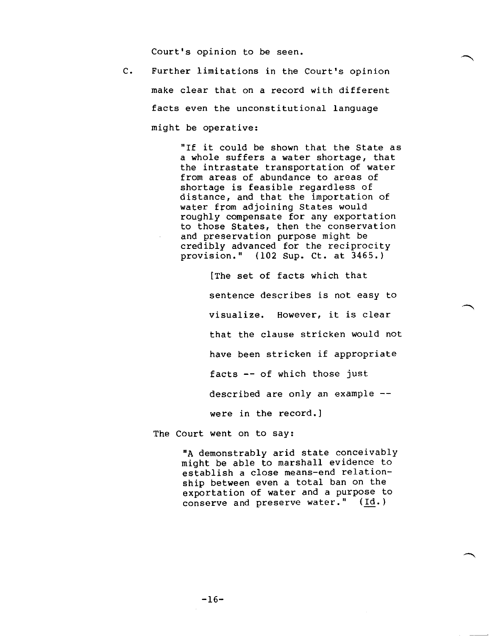Court's opinion to be seen.

C. Further limitations in the Court's opinion make clear that on a record with different facts even the unconstitutional language might be operative:

> "If it could be shown that the State as a whole suffers a water shortage, that the intrastate transportation of water from areas of abundance to areas of shortage is feasible regardless of distance, and that the importation of water from adjoining States would roughly compensate for any exportation to those States, then the conservation and preservation purpose might be credibly advanced for the reciprocity provision." (102 Sup. Ct. at 3465.)

> > [The set of facts which that sentence describes is not easy to visualize. However, it is clear that the clause stricken would not have been stricken if appropriate facts -- of which those just described are only an example - were in the record.]

The Court went on to say:

"A demonstrably arid state conceivably might be able to marshall evidence to establish a close means-end relationship between even a total ban on the exportation of water and a purpose to conserve and preserve water." (Id.)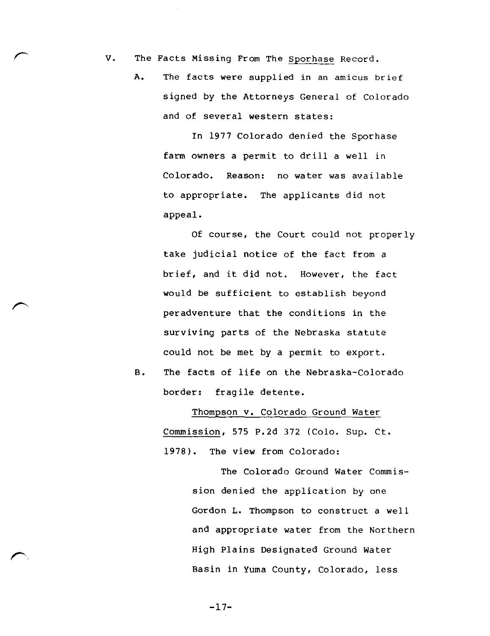V. The Facts Missing From The Sporhase Record.

A. The facts were supplied in an amicus brief signed by the Attorneys General of Colorado and of several western states:

> In 1977 Colorado denied the Sporhase farm owners a permit to drill a well in Colorado. Reason: no water was available to appropriate. The applicants did not appeal.

Of course, the Court could not properly take judicial notice of the fact from a brief, and it did not. However, the fact would be sufficient to establish beyond peradventure that the conditions in the surviving parts of the Nebraska statute could not be met by a permit to export.

B. The facts of life on the Nebraska-Colorado border: fragile detente.

> Thompson v. Colorado Ground Water Commission, 575 P.2d 372 (Colo. Sup. Ct. 1978). The view from Colorado:

> > The Colorado Ground Water Commission denied the application by one Gordon L. Thompson to construct a well and appropriate water from the Northern High Plains Designated Ground Water Basin in Yuma County, Colorado, less

 $-17-$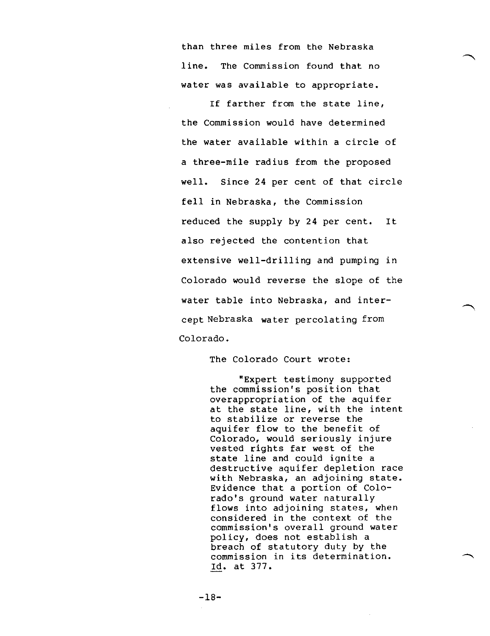than three miles from the Nebraska line. The Commission found that no water was available to appropriate.

If farther from the state line, the Commission would have determined the water available within a circle of a three-mile radius from the proposed well. Since 24 per cent of that circle fell in Nebraska, the Commission reduced the supply by 24 per cent. It also rejected the contention that extensive well-drilling and pumping in Colorado would reverse the slope of the water table into Nebraska, and intercept Nebraska water percolating from Colorado.

The Colorado Court wrote:

"Expert testimony supported the commission's position that overappropriation of the aquifer at the state line, with the intent to stabilize or reverse the aquifer flow to the benefit of Colorado, would seriously injure vested rights far west of the state line and could ignite a destructive aquifer depletion race with Nebraska, an adjoining state. Evidence that a portion of Colorado's ground water naturally flows into adjoining states, when considered in the context of the commission's overall ground water policy, does not establish a breach of statutory duty by the commission in its determination. Id. at 377.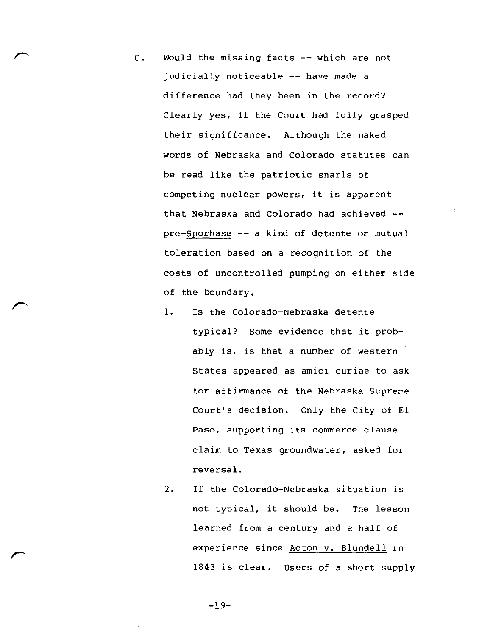C. Would the missing facts -- which are not judicially noticeable -- have made a difference had they been in the record? Clearly yes, if the Court had fully grasped their significance. Although the naked words of Nebraska and Colorado statutes can be read like the patriotic snarls of competing nuclear powers, it is apparent that Nebraska and Colorado had achieved - pre-Sporhase -- a kind of detente or mutual toleration based on a recognition of the costs of uncontrolled pumping on either side of the boundary.

÷.

- 1. Is the Colorado-Nebraska detente typical? Some evidence that it probably is, is that a number of western States appeared as amici curiae to ask for affirmance of the Nebraska Supreme Court's decision. Only the City of El Paso, supporting its commerce clause claim to Texas groundwater, asked for reversal.
- 2. If the Colorado-Nebraska situation is not typical, it should be. The lesson learned from a century and a half of experience since Acton v. Blundell in 1843 is clear. Users of a short supply

-19-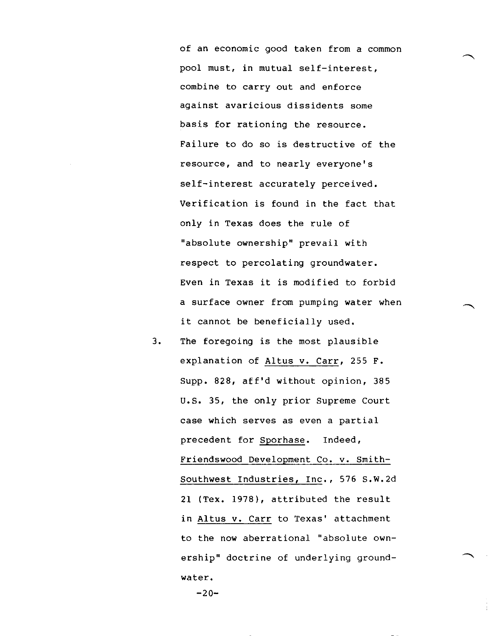of an economic good taken from a common pool must, in mutual self-interest, combine to carry out and enforce against avaricious dissidents some basis for rationing the resource. Failure to do so is destructive of the resource, and to nearly everyone's self-interest accurately perceived. Verification is found in the fact that only in Texas does the rule of "absolute ownership" prevail with respect to percolating groundwater. Even in Texas it is modified to forbid a surface owner from pumping water when it cannot be beneficially used.

3. The foregoing is the most plausible explanation of Altus v. Carr, 255 F. Supp. 828, aff'd without opinion, 385 U.S. 35, the only prior Supreme Court case which serves as even a partial precedent for Sporhase. Indeed, Friendswood Development Co. v. Smith-Southwest Industries, Inc., 576 S.W.2d 21 (Tex. 1978), attributed the result in Altus V. Carr to Texas' attachment to the now aberrational "absolute ownership" doctrine of underlying groundwater.

 $-20-$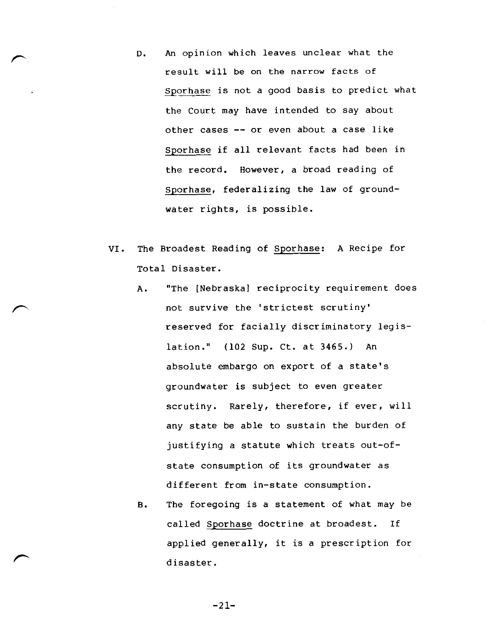- D. An opinion which leaves unclear what the result will be on the narrow facts of Sporhase is not a good basis to predict what the Court may have intended to say about other cases -- or even about a case like Sporhase if all relevant facts had been in the record. However, a broad reading of Sporhase, federalizing the law of groundwater rights, is possible.
- VI. The Broadest Reading of Sporhase: A Recipe for Total Disaster.
	- A. "The [Nebraska] reciprocity requirement does not survive the 'strictest scrutiny' reserved for facially discriminatory legislation." (102 Sup. Ct. at 3465.) An absolute embargo on export of a state's groundwater is subject to even greater scrutiny. Rarely, therefore, if ever, will any state be able to sustain the burden of justifying a statute which treats out-ofstate consumption of its groundwater as different from in-state consumption.
	- B. The foregoing is a statement of what may be called Sporhase doctrine at broadest. If applied generally, it is a prescription for disaster.

-21-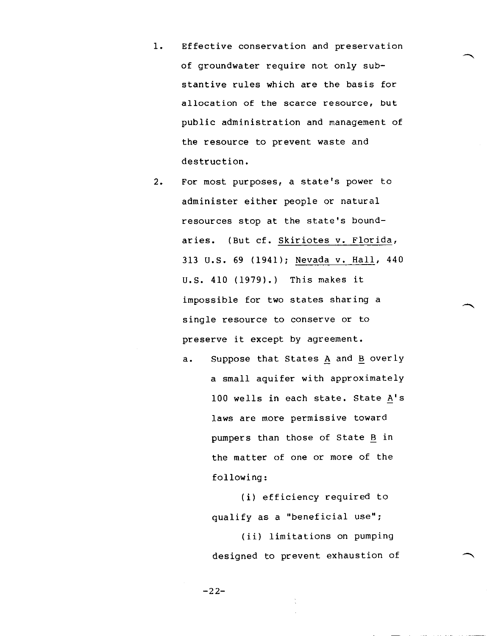- 1. Effective conservation and preservation of groundwater require not only substantive rules which are the basis for allocation of the scarce resource, but public administration and management of the resource to prevent waste and destruction.
- 2. For most purposes, a state's power to administer either people or natural resources stop at the state's boundaries. (But cf. Skiriotes v. Florida, 313 U.S. 69 (1941); Nevada v. Hall, 440 U.S. 410 (1979).) This makes it impossible for two states sharing a single resource to conserve or to preserve it except by agreement.

a. Suppose that States A and B overly a small aquifer with approximately 100 wells in each state. State A's \_ laws are more permissive toward pumpers than those of State B in the matter of one or more of the following:

> (i) efficiency required to qualify as a "beneficial use";

(ii) limitations on pumping designed to prevent exhaustion of

 $-22-$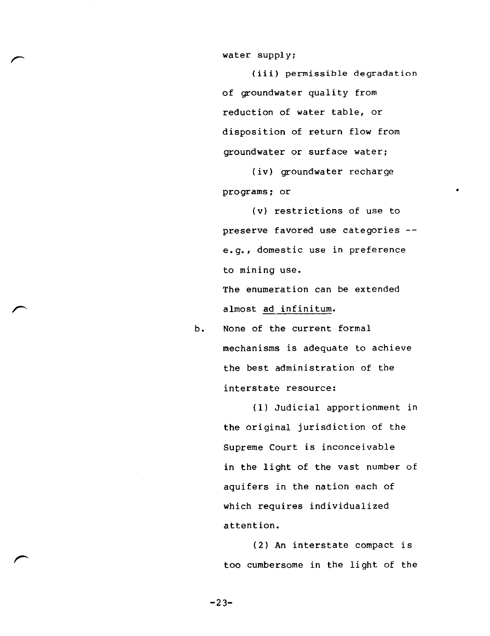water supply:

 $\overline{a}$ 

(iii) permissible degradation of groundwater quality from reduction of water table, or disposition of return flow from groundwater or surface water;

(iv) groundwater recharge programs; or

(v) restrictions of use to preserve favored use categories - e.g., domestic use in preference to mining use. The enumeration can be extended The enumeration can<br>almost <u>ad infinitum</u>.

> b. None of the current formal mechanisms is adequate to achieve the best administration of the interstate resource:

> > (1) Judicial apportionment in the original jurisdiction of the Supreme Court is inconceivable in the light of the vast number of aquifers in the nation each of which requires individualized attention.

(2) An interstate compact is (2) An interstate compact is<br>too cumbersome in the light of the

 $-23-$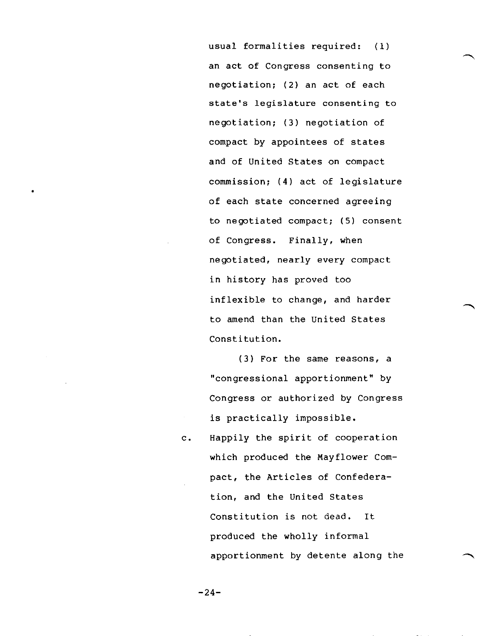usual formalities required: (1) an act of Congress consenting to negotiation; (2) an act of each state's legislature consenting to negotiation; (3) negotiation of compact by appointees of states and of United States on compact commission; (4) act of legislature of each state concerned agreeing to negotiated compact; (5) consent of Congress. Finally, when negotiated, nearly every compact in history has proved too inflexible to change, and harder to amend than the United States Constitution.

(3) For the same reasons, a "congressional apportionment" by Congress or authorized by Congress is practically impossible.

c. Happily the spirit of cooperation which produced the Mayflower Compact, the Articles of Confederation, and the United States Constitution is not dead. It produced the wholly informal apportionment by detente along the

 $-24-$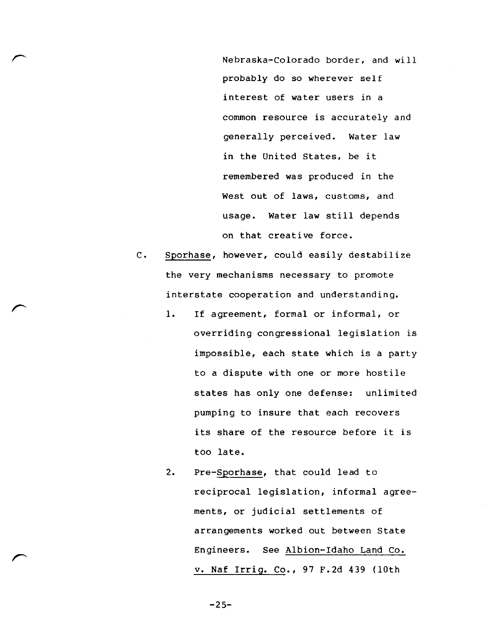Nebraska-Colorado border, and will probably do so wherever self interest of water users in a common resource is accurately and generally perceived. Water law in the United States, be it remembered was produced in the West out of laws, customs, and usage. Water law still depends on that creative force.

C. Sporhase, however, could easily destabilize the very mechanisms necessary to promote interstate cooperation and understanding.

 $\sqrt{2}$ 

**r**

r

- 1. If agreement, formal or informal, or overriding congressional legislation is impossible, each state which is a party to a dispute with one or more hostile states has only one defense: unlimited pumping to insure that each recovers its share of the resource before it is too late.
- 2. Pre-Sporhase, that could lead to reciprocal legislation, informal agreements, or judicial settlements of arrangements worked out between State Engineers. See Albion-Idaho Land Co. v. Naf Irriq. Co., 97 F.2d 439 (10th

 $-25-$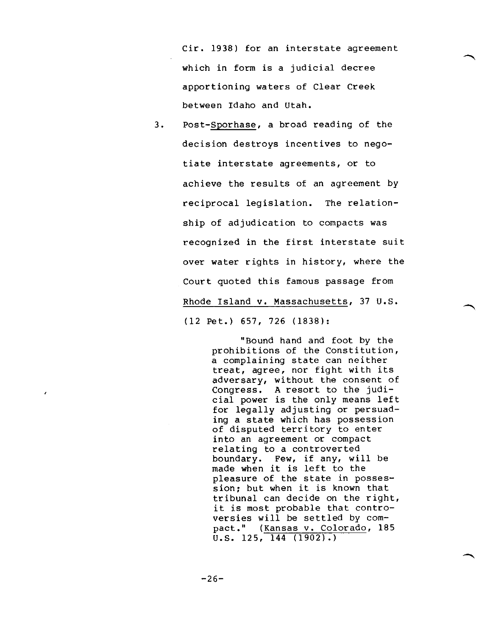Cir. 1938) for an interstate agreement which in form is a judicial decree apportioning waters of Clear Creek between Idaho and Utah.

3. Post-Sporhase, a broad reading of the decision destroys incentives to negotiate interstate agreements, or to achieve the results of an agreement by reciprocal legislation. The relationship of adjudication to compacts was recognized in the first interstate suit over water rights in history, where the Court quoted this famous passage from Rhode Island v. Massachusetts, 37 U.S. (12 Pet.) 657, 726 (1838):

> "Bound hand and foot by the prohibitions of the Constitution, a complaining state can neither treat, agree, nor fight with its adversary, without the consent of Congress. A resort to the judicial power is the only means left for legally adjusting or persuading a state which has possession of disputed territory to enter into an agreement or compact relating to a controverted boundary. Few, if any, will be made when it is left to the pleasure of the state in possession; but when it is known that tribunal can decide on the right, it is most probable that controversies will be settled by compact." (Kansas v. Colorado, 185 U.S. 125, 144 (1902).)

-26-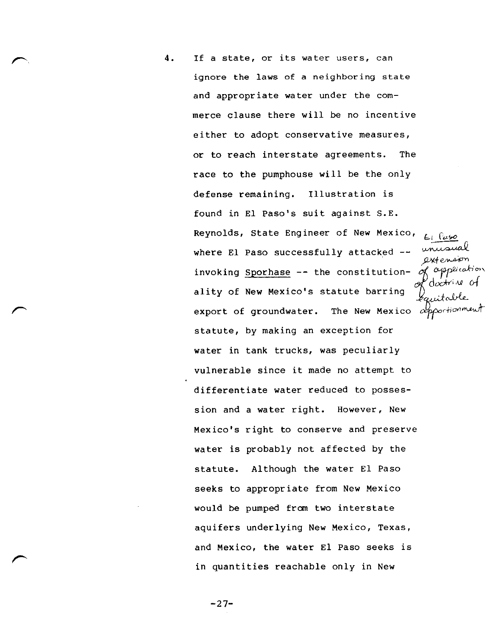4. If a state, or its water users, can ignore the laws of a neighboring state and appropriate water under the commerce clause there will be no incentive either to adopt conservative measures, or to reach interstate agreements. The race to the pumphouse will be the only defense remaining. Illustration is found in El Paso's suit against S.E. Reynolds, State Engineer of New Mexico, where El Paso successfully attacked  $-$ Axtension porton invoking Sporhase -- the constitution- of application doctriul of ality of New Mexico's statute barring export of groundwater. The New Mexico  $\alpha$ pportionment statute, by making an exception for water in tank trucks, was peculiarly vulnerable since it made no attempt to differentiate water reduced to possession and a water right. However, New Mexico's right to conserve and preserve water is probably not affected by the statute. Although the water El Paso seeks to appropriate from New Mexico would be pumped from two interstate aquifers underlying New Mexico, Texas, and Mexico, the water El Paso seeks is in quantities reachable only in New

 $-27-$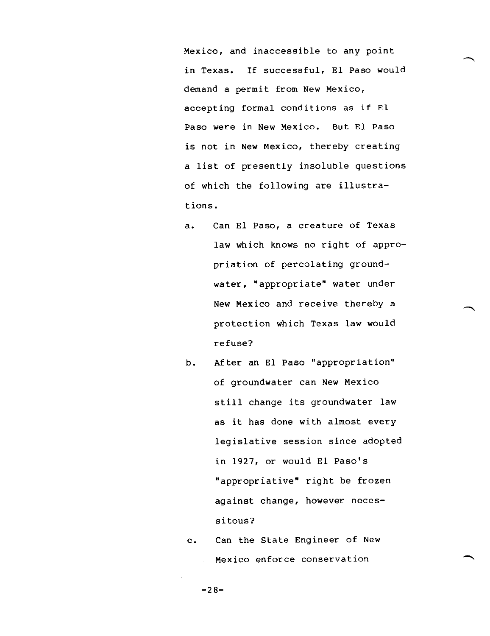Mexico, and inaccessible to any point in Texas. If successful, El Paso would demand a permit from New Mexico, accepting formal conditions as if El Paso were in New Mexico. But El Paso is not in New Mexico, thereby creating a list of presently insoluble questions of which the following are illustrations.

- a. Can El Paso, a creature of Texas law which knows no right of appropriation of percolating groundwater, "appropriate" water under New Mexico and receive thereby a protection which Texas law would refuse?
- b. After an El Paso "appropriation" of groundwater can New Mexico still change its groundwater law as it has done with almost every legislative session since adopted in 1927, or would El Paso's "appropriative" right be frozen against change, however necessitous?
- c. Can the State Engineer of New Mexico enforce conservation

 $-28-$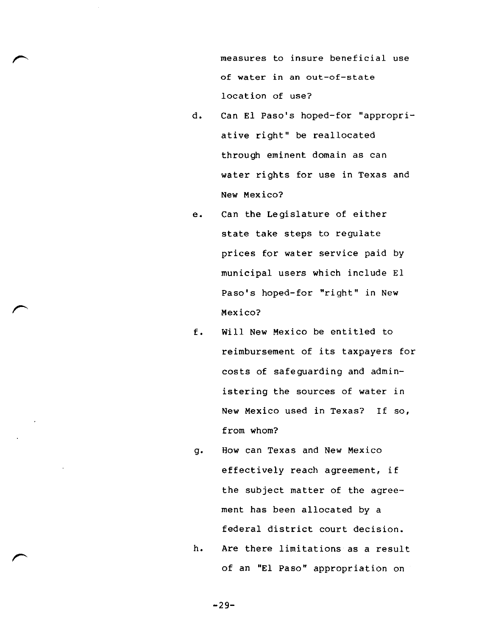measures to insure beneficial use of water in an out-of-state location of use?

- d. Can El Paso's hoped-for "appropriative right" be reallocated through eminent domain as can water rights for use in Texas and New Mexico?
- e. Can the Legislature of either state take steps to regulate prices for water service paid by municipal users which include El Paso's hoped-for "right" in New Mexico?
- f. Will New Mexico be entitled to reimbursement of its taxpayers for costs of safeguarding and administering the sources of water in New Mexico used in Texas? If so, from whom?
- g. How can Texas and New Mexico effectively reach agreement, if the subject matter of the agreement has been allocated by a federal district court decision.
- h. Are there limitations as a result of an "El Paso" appropriation on

-29-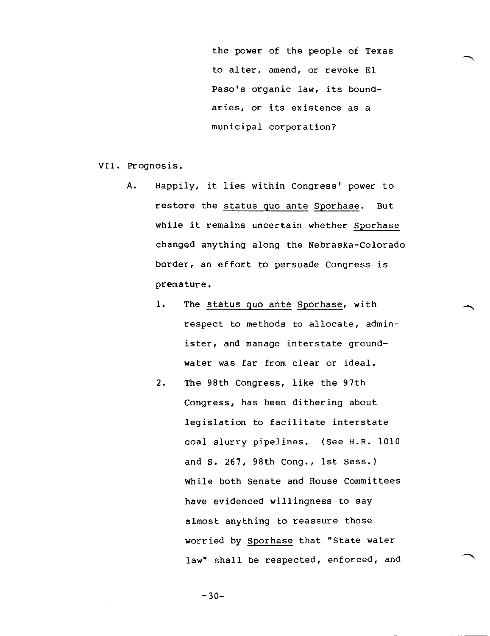the power of the people of Texas to alter, amend, or revoke El Paso's organic law, its boundaries, or its existence as a municipal corporation?

VII. Prognosis.

- A. Happily, it lies within Congress' power to restore the status quo ante Sporhase. But while it remains uncertain whether Sporhase changed anything along the Nebraska-Colorado border, an effort to persuade Congress is premature.
	- 1. The status quo ante Sporhase, with respect to methods to allocate, administer, and manage interstate groundwater was far from clear or ideal.
	- 2. The 98th Congress, like the 97th Congress, has been dithering about legislation to facilitate interstate coal slurry pipelines. (See H.R. 1010 and S. 267, 98th Cong., 1st Sess.) While both Senate and House Committees have evidenced willingness to say almost anything to reassure those worried by Sporhase that "State water law" shall be respected, enforced, and

 $-30-$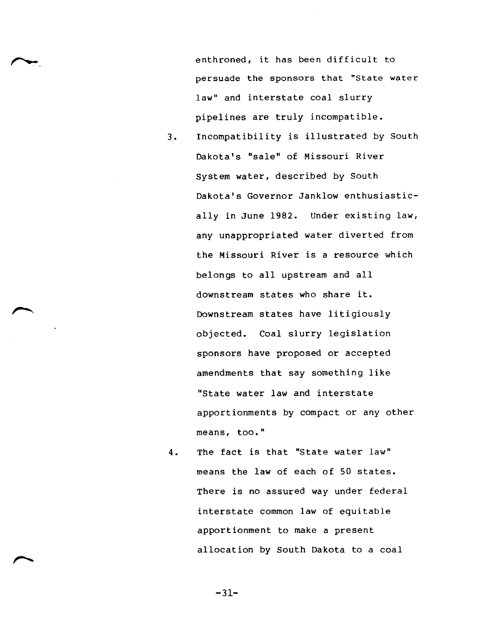enthroned, it has been difficult to persuade the sponsors that "state water law" and interstate coal slurry pipelines are truly incompatible.

- 3. Incompatibility is illustrated by South Dakota's "sale" of Missouri River System water, described by South Dakota's Governor Janklow enthusiastically in June 1982. Under existing law, any unappropriated water diverted from the Missouri River is a resource which belongs to all upstream and all downstream states who share it. Downstream states have litigiously objected. Coal slurry legislation sponsors have proposed or accepted amendments that say something like "State water law and interstate apportionments by compact or any other means, too."
- 4. The fact is that "State water law" means the law of each of 50 states. There is no assured way under federal interstate common law of equitable apportionment to make a present allocation by South Dakota to a coal

-31-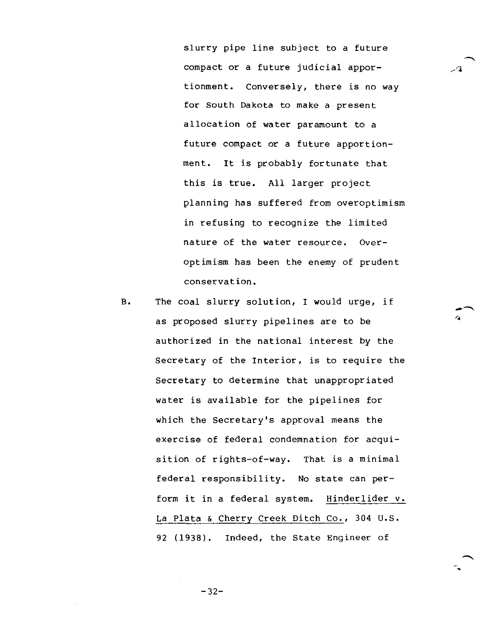slurry pipe line subject to a future compact or a future judicial apportionment. Conversely, there is no way for South Dakota to make a present allocation of water paramount to a future compact or a future apportionment. It is probably fortunate that this is true. All larger project planning has suffered from overoptimism in refusing to recognize the limited nature of the water resource. Overoptimism has been the enemy of prudent conservation.

B. The coal slurry solution, I would urge, if as proposed slurry pipelines are to be authorized in the national interest by the Secretary of the Interior, is to require the Secretary to determine that unappropriated water is available for the pipelines for which the Secretary's approval means the exercise of federal condemnation for acquisition of rights-of-way. That is a minimal federal responsibility. No state can perform it in a federal system. Hinderlider v. La Plata & Cherry Creek Ditch Co., 304 U.S. 92 (1938). Indeed, the State Engineer of

 $\overline{\phantom{a}}$ 

 $-32-$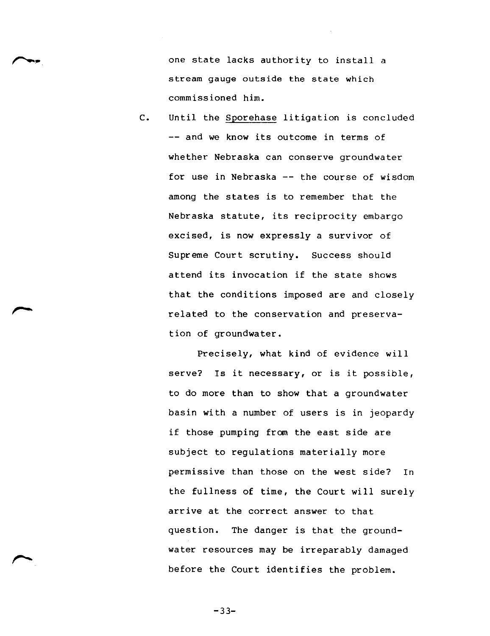one state lacks authority to install a stream gauge outside the state which commissioned him.

C. Until the Sporehase litigation is concluded -- and we know its outcome in terms of whether Nebraska can conserve groundwater for use in Nebraska -- the course of wisdom among the states is to remember that the Nebraska statute, its reciprocity embargo excised, is now expressly a survivor of Supreme Court scrutiny. Success should attend its invocation if the state shows that the conditions imposed are and closely related to the conservation and preservation of groundwater.

> Precisely, what kind of evidence will serve? Is it necessary, or is it possible, to do more than to show that a groundwater basin with a number of users is in jeopardy if those pumping from the east side are subject to regulations materially more permissive than those on the west side? In the fullness of time, the Court will surely arrive at the correct answer to that question. The danger is that the groundwater resources may be irreparably damaged before the Court identifies the problem.

> > -33-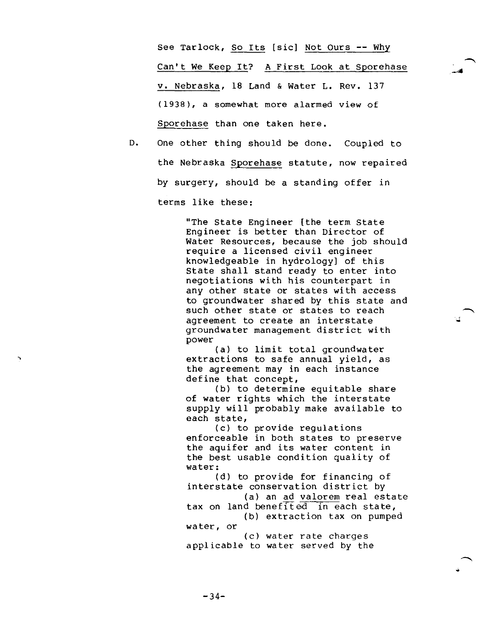See Tarlock, So Its [sic] Not Ours -- Why Can't We Keep It? A First Look at Sporehase v. Nebraska, 18 Land & Water L. Rev. 137 (1938), a somewhat more alarmed view of Sporehase than one taken here.

D. One other thing should be done. Coupled to the Nebraska Sporehase statute, now repaired by surgery, should be a standing offer in terms like these:

> "The State Engineer [the term State Engineer is better than Director of Water Resources, because the job should require a licensed civil engineer knowledgeable in hydrology] of this State shall stand ready to enter into negotiations with his counterpart in any other state or states with access to groundwater shared by this state and such other state or states to reach agreement to create an interstate groundwater management district with power

(a) to limit total groundwater extractions to safe annual yield, as the agreement may in each instance define that concept,

(b) to determine equitable share of water rights which the interstate supply will probably make available to each state,

(c) to provide regulations enforceable in both states to preserve the aquifer and its water content in the best usable condition quality of water:

(d) to provide for financing of interstate conservation district by (a) an ad valorem real estate tax on land benefited in each state, (b) extraction tax on pumped water, or

(c) water rate charges applicable to water served by the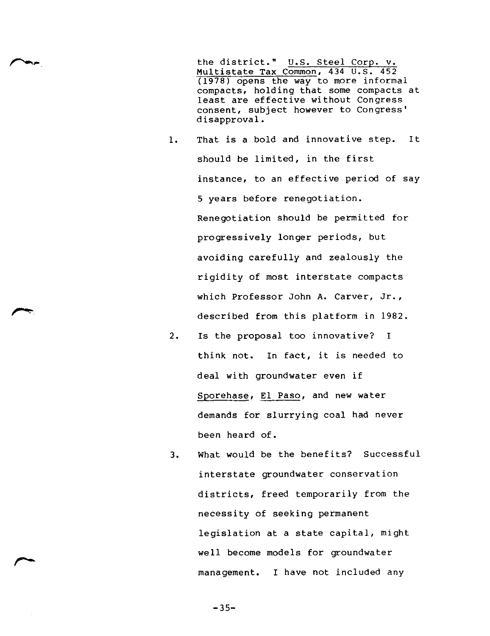the district." U.S. Steel Corp. v. Multistate Tax Common, 434 U.S. 452 (1978) opens the way to more informal compacts, holding that some compacts at least are effective without Congress consent, subject however to Congress' disapproval.

- 1. That is a bold and innovative step. It should be limited, in the first instance, to an effective period of say 5 years before renegotiation. Renegotiation should be permitted for progressively longer periods, but avoiding carefully and zealously the rigidity of most interstate compacts which Professor John A. Carver, Jr., described from this platform in 1982.
- 2. Is the proposal too innovative? I think not. In fact, it is needed to deal with groundwater even if Sporehase, El Paso, and new water demands for slurrying coal had never been heard of.
- 3. What would be the benefits? Successful interstate groundwater conservation districts, freed temporarily from the necessity of seeking permanent legislation at a state capital, might well become models for groundwater management. I have not included any

 $-35-$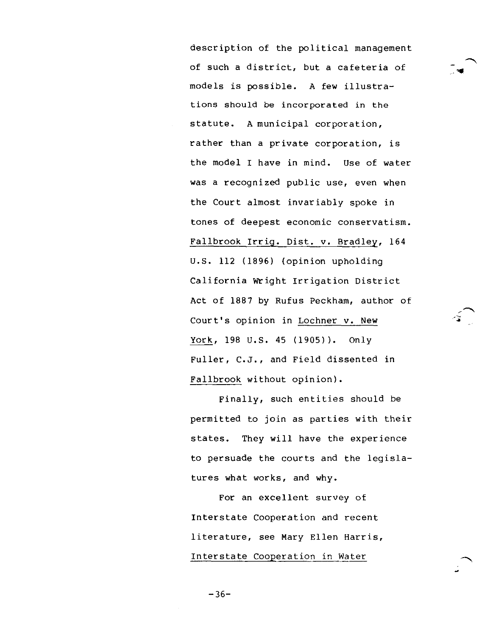description of the political management of such a district, but a cafeteria of models is possible. A few illustrations should be incorporated in the statute. A municipal corporation, rather than a private corporation, is the model I have in mind. Use of water was a recognized public use, even when the Court almost invariably spoke in tones of deepest economic conservatism. Fallbrook Irrig. Dist. v. Bradley, 164 U.S. 112 (1896) (opinion upholding California Wright Irrigation District Act of 1887 by Rufus Peckham, author of Court's opinion in Lochner v. New York, 198 U.S. 45 (1905)). Only Fuller, C.J., and Field dissented in Fallbrook without opinion).

Finally, such entities should be permitted to join as parties with their states. They will have the experience to persuade the courts and the legislatures what works, and why.

For an excellent survey of Interstate Cooperation and recent literature, see Mary Ellen Harris, Interstate Cooperation in Water

 $-36-$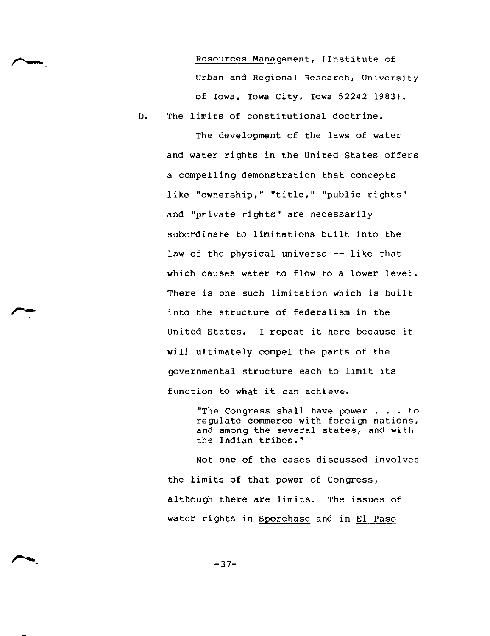Resources Management, (Institute of Urban and Regional Research, University of Iowa, Iowa City, Iowa 52242 1983).

D. The limits of constitutional doctrine.

The development of the laws of water and water rights in the United States offers a compelling demonstration that concepts like "ownership," "title," "public rights" and "private rights" are necessarily subordinate to limitations built into the law of the physical universe -- like that which causes water to flow to a lower level. There is one such limitation which is built into the structure of federalism in the United States. I repeat it here because it will ultimately compel the parts of the governmental structure each to limit its function to what it can achieve.

> "The Congress shall have power . . . to regulate commerce with foreign nations, and among the several states, and with the Indian tribes."

Not one of the cases discussed involves the limits of that power of Congress, although there are limits. The issues of water rights in Sporehase and in El Paso

 $-37-$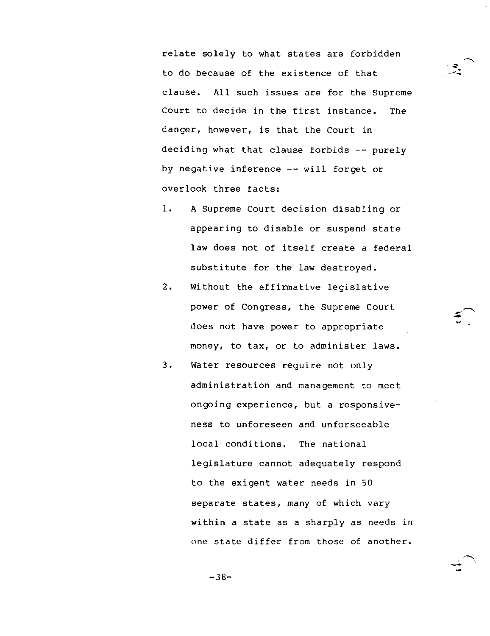relate solely to what states are forbidden to do because of the existence of that clause. All such issues are for the Supreme Court to decide in the first instance. The danger, however, is that the Court in deciding what that clause forbids -- purely by negative inference -- will forget or overlook three facts:

- 1. A Supreme Court decision disabling or appearing to disable or suspend state law does not of itself create a federal substitute for the law destroyed.
- 2. Without the affirmative legislative power of Congress, the Supreme Court does not have power to appropriate money, to tax, or to administer laws.
- 3. Water resources require not only administration and management to meet ongoing experience, but a responsiveness to unforeseen and unforseeable local conditions. The national legislature cannot adequately respond to the exigent water needs in 50 separate states, many of which vary within a state as a sharply as needs in one state differ from those of another.

 $-38-$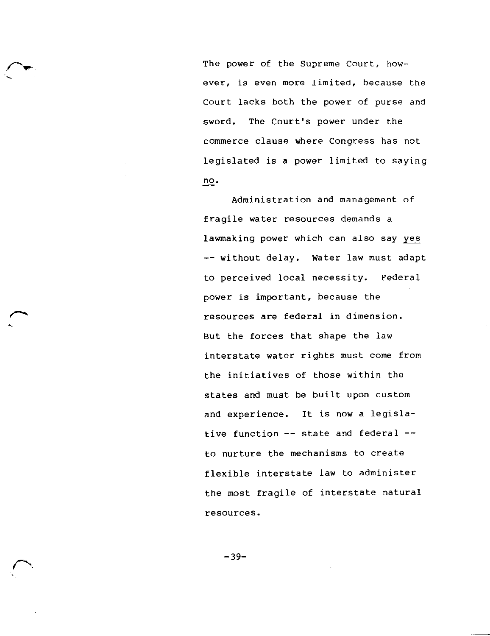The power of the Supreme Court, however, is even more limited, because the Court lacks both the power of purse and sword. The Court's power under the commerce clause where Congress has not legislated is a power limited to saying no.

Administration and management of fragile water resources demands a lawmaking power which can also say yes -- without delay. Water law must adapt to perceived local necessity. Federal power is important, because the resources are federal in dimension. But the forces that shape the law interstate water rights must come from the initiatives of those within the states and must be built upon custom and experience. It is now a legislative function -- state and federal - to nurture the mechanisms to create flexible interstate law to administer the most fragile of interstate natural resources.

-39-